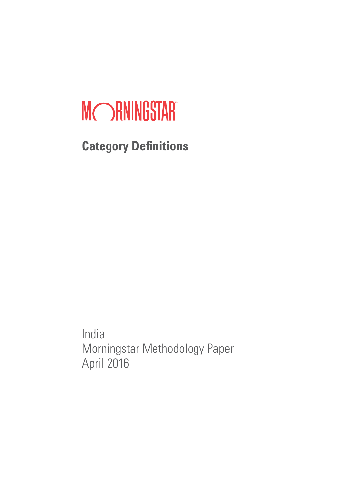# MORNINGSTAR®

**Category Definitions**

India Morningstar Methodology Paper April 2016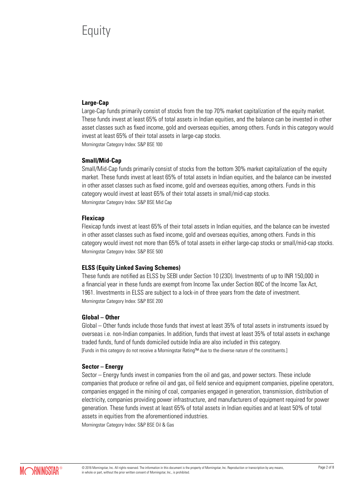# **Equity**

# **Large-Cap**

Large-Cap funds primarily consist of stocks from the top 70% market capitalization of the equity market. These funds invest at least 65% of total assets in Indian equities, and the balance can be invested in other asset classes such as fixed income, gold and overseas equities, among others. Funds in this category would invest at least 65% of their total assets in large-cap stocks. Morningstar Category Index: S&P BSE 100

#### **Small/Mid-Cap**

Small/Mid-Cap funds primarily consist of stocks from the bottom 30% market capitalization of the equity market. These funds invest at least 65% of total assets in Indian equities, and the balance can be invested in other asset classes such as fixed income, gold and overseas equities, among others. Funds in this category would invest at least 65% of their total assets in small/mid-cap stocks. Morningstar Category Index: S&P BSE Mid Cap

#### **Flexicap**

Flexicap funds invest at least 65% of their total assets in Indian equities, and the balance can be invested in other asset classes such as fixed income, gold and overseas equities, among others. Funds in this category would invest not more than 65% of total assets in either large-cap stocks or small/mid-cap stocks. Morningstar Category Index: S&P BSE 500

# **ELSS (Equity Linked Saving Schemes)**

These funds are notified as ELSS by SEBI under Section 10 (23D). Investments of up to INR 150,000 in a financial year in these funds are exempt from Income Tax under Section 80C of the Income Tax Act, 1961. Investments in ELSS are subject to a lock-in of three years from the date of investment. Morningstar Category Index: S&P BSE 200

# **Global – Other**

Global – Other funds include those funds that invest at least 35% of total assets in instruments issued by overseas i.e. non-Indian companies. In addition, funds that invest at least 35% of total assets in exchange traded funds, fund of funds domiciled outside India are also included in this category. [Funds in this category do not receive a Morningstar Rating™ due to the diverse nature of the constituents.]

# **Sector – Energy**

Sector – Energy funds invest in companies from the oil and gas, and power sectors. These include companies that produce or refine oil and gas, oil field service and equipment companies, pipeline operators, companies engaged in the mining of coal, companies engaged in generation, transmission, distribution of electricity, companies providing power infrastructure, and manufacturers of equipment required for power generation. These funds invest at least 65% of total assets in Indian equities and at least 50% of total assets in equities from the aforementioned industries.

Morningstar Category Index: S&P BSE Oil & Gas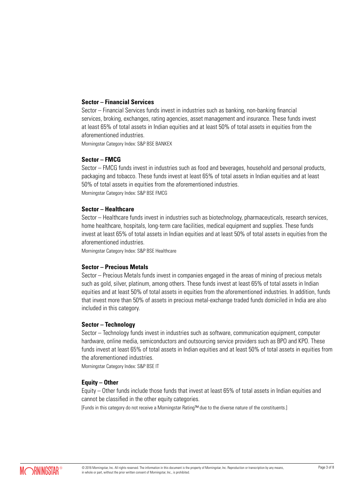#### **Sector – Financial Services**

Sector – Financial Services funds invest in industries such as banking, non-banking financial services, broking, exchanges, rating agencies, asset management and insurance. These funds invest at least 65% of total assets in Indian equities and at least 50% of total assets in equities from the aforementioned industries.

Morningstar Category Index: S&P BSE BANKEX

#### **Sector – FMCG**

Sector – FMCG funds invest in industries such as food and beverages, household and personal products, packaging and tobacco. These funds invest at least 65% of total assets in Indian equities and at least 50% of total assets in equities from the aforementioned industries. Morningstar Category Index: S&P BSE FMCG

#### **Sector – Healthcare**

Sector – Healthcare funds invest in industries such as biotechnology, pharmaceuticals, research services, home healthcare, hospitals, long-term care facilities, medical equipment and supplies. These funds invest at least 65% of total assets in Indian equities and at least 50% of total assets in equities from the aforementioned industries.

Morningstar Category Index: S&P BSE Healthcare

#### **Sector – Precious Metals**

Sector – Precious Metals funds invest in companies engaged in the areas of mining of precious metals such as gold, silver, platinum, among others. These funds invest at least 65% of total assets in Indian equities and at least 50% of total assets in equities from the aforementioned industries. In addition, funds that invest more than 50% of assets in precious metal-exchange traded funds domiciled in India are also included in this category.

#### **Sector – Technology**

Sector – Technology funds invest in industries such as software, communication equipment, computer hardware, online media, semiconductors and outsourcing service providers such as BPO and KPO. These funds invest at least 65% of total assets in Indian equities and at least 50% of total assets in equities from the aforementioned industries.

Morningstar Category Index: S&P BSE IT

# **Equity – Other**

Equity – Other funds include those funds that invest at least 65% of total assets in Indian equities and cannot be classified in the other equity categories.

[Funds in this category do not receive a Morningstar Rating™ due to the diverse nature of the constituents.]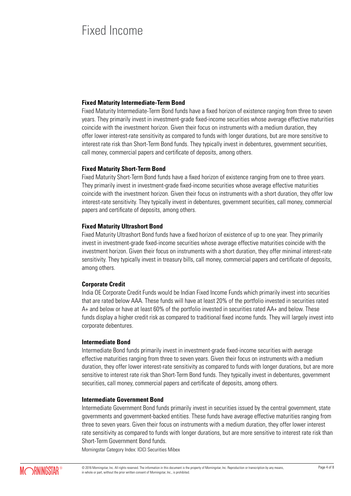# Fixed Income

### **Fixed Maturity Intermediate-Term Bond**

Fixed Maturity Intermediate-Term Bond funds have a fixed horizon of existence ranging from three to seven years. They primarily invest in investment-grade fixed-income securities whose average effective maturities coincide with the investment horizon. Given their focus on instruments with a medium duration, they offer lower interest-rate sensitivity as compared to funds with longer durations, but are more sensitive to interest rate risk than Short-Term Bond funds. They typically invest in debentures, government securities, call money, commercial papers and certificate of deposits, among others.

#### **Fixed Maturity Short-Term Bond**

Fixed Maturity Short-Term Bond funds have a fixed horizon of existence ranging from one to three years. They primarily invest in investment-grade fixed-income securities whose average effective maturities coincide with the investment horizon. Given their focus on instruments with a short duration, they offer low interest-rate sensitivity. They typically invest in debentures, government securities, call money, commercial papers and certificate of deposits, among others.

#### **Fixed Maturity Ultrashort Bond**

Fixed Maturity Ultrashort Bond funds have a fixed horizon of existence of up to one year. They primarily invest in investment-grade fixed-income securities whose average effective maturities coincide with the investment horizon. Given their focus on instruments with a short duration, they offer minimal interest-rate sensitivity. They typically invest in treasury bills, call money, commercial papers and certificate of deposits, among others.

#### **Corporate Credit**

India OE Corporate Credit Funds would be Indian Fixed Income Funds which primarily invest into securities that are rated below AAA. These funds will have at least 20% of the portfolio invested in securities rated A+ and below or have at least 60% of the portfolio invested in securities rated AA+ and below. These funds display a higher credit risk as compared to traditional fixed income funds. They will largely invest into corporate debentures.

#### **Intermediate Bond**

Intermediate Bond funds primarily invest in investment-grade fixed-income securities with average effective maturities ranging from three to seven years. Given their focus on instruments with a medium duration, they offer lower interest-rate sensitivity as compared to funds with longer durations, but are more sensitive to interest rate risk than Short-Term Bond funds. They typically invest in debentures, government securities, call money, commercial papers and certificate of deposits, among others.

#### **Intermediate Government Bond**

Intermediate Government Bond funds primarily invest in securities issued by the central government, state governments and government-backed entities. These funds have average effective maturities ranging from three to seven years. Given their focus on instruments with a medium duration, they offer lower interest rate sensitivity as compared to funds with longer durations, but are more sensitive to interest rate risk than Short-Term Government Bond funds.

Morningstar Category Index: ICICI Securities Mibex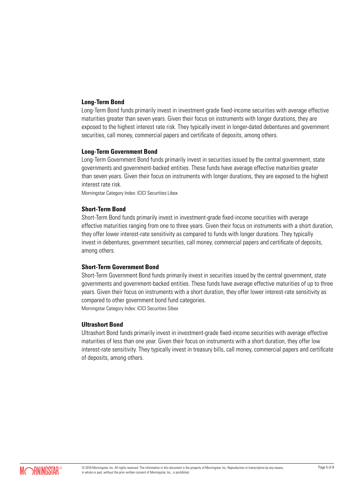#### **Long-Term Bond**

Long-Term Bond funds primarily invest in investment-grade fixed-income securities with average effective maturities greater than seven years. Given their focus on instruments with longer durations, they are exposed to the highest interest rate risk. They typically invest in longer-dated debentures and government securities, call money, commercial papers and certificate of deposits, among others.

#### **Long-Term Government Bond**

Long-Term Government Bond funds primarily invest in securities issued by the central government, state governments and government-backed entities. These funds have average effective maturities greater than seven years. Given their focus on instruments with longer durations, they are exposed to the highest interest rate risk.

Morningstar Category Index: ICICI Securities Libex

#### **Short-Term Bond**

Short-Term Bond funds primarily invest in investment-grade fixed-income securities with average effective maturities ranging from one to three years. Given their focus on instruments with a short duration, they offer lower interest-rate sensitivity as compared to funds with longer durations. They typically invest in debentures, government securities, call money, commercial papers and certificate of deposits, among others.

#### **Short-Term Government Bond**

Short-Term Government Bond funds primarily invest in securities issued by the central government, state governments and government-backed entities. These funds have average effective maturities of up to three years. Given their focus on instruments with a short duration, they offer lower interest-rate sensitivity as compared to other government bond fund categories.

Morningstar Category Index: ICICI Securities Sibex

#### **Ultrashort Bond**

Ultrashort Bond funds primarily invest in investment-grade fixed-income securities with average effective maturities of less than one year. Given their focus on instruments with a short duration, they offer low interest-rate sensitivity. They typically invest in treasury bills, call money, commercial papers and certificate of deposits, among others.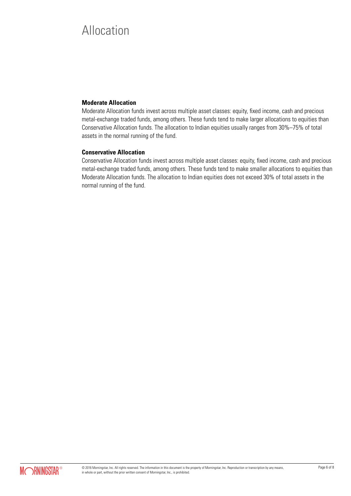# Allocation

# **Moderate Allocation**

Moderate Allocation funds invest across multiple asset classes: equity, fixed income, cash and precious metal-exchange traded funds, among others. These funds tend to make larger allocations to equities than Conservative Allocation funds. The allocation to Indian equities usually ranges from 30%–75% of total assets in the normal running of the fund.

# **Conservative Allocation**

Conservative Allocation funds invest across multiple asset classes: equity, fixed income, cash and precious metal-exchange traded funds, among others. These funds tend to make smaller allocations to equities than Moderate Allocation funds. The allocation to Indian equities does not exceed 30% of total assets in the normal running of the fund.

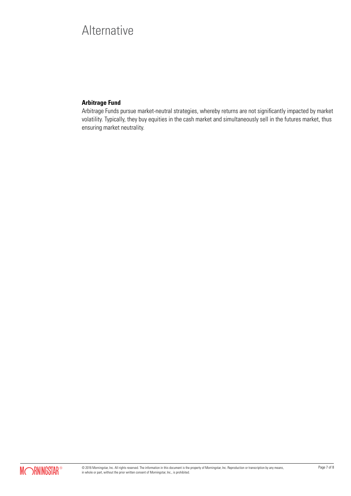# **Alternative**

# **Arbitrage Fund**

Arbitrage Funds pursue market-neutral strategies, whereby returns are not significantly impacted by market volatility. Typically, they buy equities in the cash market and simultaneously sell in the futures market, thus ensuring market neutrality.